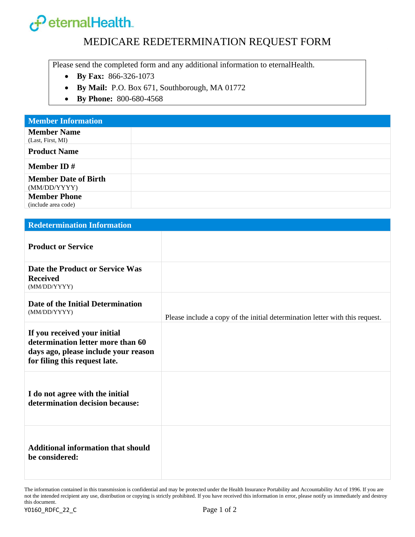

## MEDICARE REDETERMINATION REQUEST FORM

Please send the completed form and any additional information to eternalHealth.

- **By Fax:** 866-326-1073
- **By Mail:** P.O. Box 671, Southborough, MA 01772
- **By Phone:** 800-680-4568

| <b>Redetermination Information</b>                                                                                                         |                                                                              |  |  |  |  |
|--------------------------------------------------------------------------------------------------------------------------------------------|------------------------------------------------------------------------------|--|--|--|--|
| <b>Product or Service</b>                                                                                                                  |                                                                              |  |  |  |  |
| Date the Product or Service Was<br><b>Received</b><br>(MM/DD/YYYY)                                                                         |                                                                              |  |  |  |  |
| Date of the Initial Determination<br>(MM/DD/YYYY)                                                                                          | Please include a copy of the initial determination letter with this request. |  |  |  |  |
| If you received your initial<br>determination letter more than 60<br>days ago, please include your reason<br>for filing this request late. |                                                                              |  |  |  |  |
| I do not agree with the initial<br>determination decision because:                                                                         |                                                                              |  |  |  |  |
| <b>Additional information that should</b><br>be considered:                                                                                |                                                                              |  |  |  |  |

The information contained in this transmission is confidential and may be protected under the Health Insurance Portability and Accountability Act of 1996. If you are not the intended recipient any use, distribution or copying is strictly prohibited. If you have received this information in error, please notify us immediately and destroy this document.